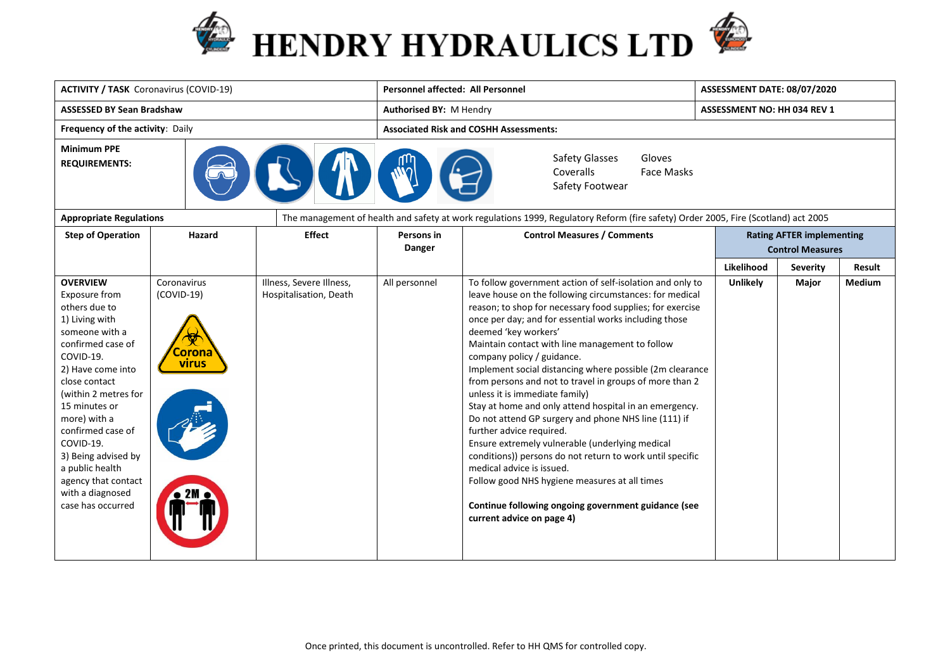



| <b>ACTIVITY / TASK Coronavirus (COVID-19)</b>                                                                                                                                                                                                                                                                                                                      |                                                |                                                    | <b>Personnel affected: All Personnel</b>                                             | ASSESSMENT DATE: 08/07/2020                                                                                                                                                                                                                                                                                                                                                                                                                                                                                                                                                                                                                                                                                                                                                                                                                                                                                                                  |                             |                                                             |               |  |
|--------------------------------------------------------------------------------------------------------------------------------------------------------------------------------------------------------------------------------------------------------------------------------------------------------------------------------------------------------------------|------------------------------------------------|----------------------------------------------------|--------------------------------------------------------------------------------------|----------------------------------------------------------------------------------------------------------------------------------------------------------------------------------------------------------------------------------------------------------------------------------------------------------------------------------------------------------------------------------------------------------------------------------------------------------------------------------------------------------------------------------------------------------------------------------------------------------------------------------------------------------------------------------------------------------------------------------------------------------------------------------------------------------------------------------------------------------------------------------------------------------------------------------------------|-----------------------------|-------------------------------------------------------------|---------------|--|
| <b>ASSESSED BY Sean Bradshaw</b>                                                                                                                                                                                                                                                                                                                                   |                                                |                                                    | Authorised BY: M Hendry                                                              |                                                                                                                                                                                                                                                                                                                                                                                                                                                                                                                                                                                                                                                                                                                                                                                                                                                                                                                                              | ASSESSMENT NO: HH 034 REV 1 |                                                             |               |  |
| Frequency of the activity: Daily                                                                                                                                                                                                                                                                                                                                   |                                                |                                                    | <b>Associated Risk and COSHH Assessments:</b>                                        |                                                                                                                                                                                                                                                                                                                                                                                                                                                                                                                                                                                                                                                                                                                                                                                                                                                                                                                                              |                             |                                                             |               |  |
| <b>Minimum PPE</b><br><b>REQUIREMENTS:</b>                                                                                                                                                                                                                                                                                                                         |                                                |                                                    | <b>Safety Glasses</b><br>Gloves<br>Coveralls<br><b>Face Masks</b><br>Safety Footwear |                                                                                                                                                                                                                                                                                                                                                                                                                                                                                                                                                                                                                                                                                                                                                                                                                                                                                                                                              |                             |                                                             |               |  |
| <b>Appropriate Regulations</b>                                                                                                                                                                                                                                                                                                                                     |                                                |                                                    |                                                                                      | The management of health and safety at work regulations 1999, Regulatory Reform (fire safety) Order 2005, Fire (Scotland) act 2005                                                                                                                                                                                                                                                                                                                                                                                                                                                                                                                                                                                                                                                                                                                                                                                                           |                             |                                                             |               |  |
| <b>Step of Operation</b>                                                                                                                                                                                                                                                                                                                                           | Hazard                                         | <b>Effect</b>                                      | <b>Persons in</b><br>Danger                                                          | <b>Control Measures / Comments</b>                                                                                                                                                                                                                                                                                                                                                                                                                                                                                                                                                                                                                                                                                                                                                                                                                                                                                                           |                             | <b>Rating AFTER implementing</b><br><b>Control Measures</b> |               |  |
|                                                                                                                                                                                                                                                                                                                                                                    |                                                |                                                    |                                                                                      |                                                                                                                                                                                                                                                                                                                                                                                                                                                                                                                                                                                                                                                                                                                                                                                                                                                                                                                                              | Likelihood                  | <b>Severity</b>                                             | <b>Result</b> |  |
| <b>OVERVIEW</b><br>Exposure from<br>others due to<br>1) Living with<br>someone with a<br>confirmed case of<br>COVID-19.<br>2) Have come into<br>close contact<br>(within 2 metres for<br>15 minutes or<br>more) with a<br>confirmed case of<br>COVID-19.<br>3) Being advised by<br>a public health<br>agency that contact<br>with a diagnosed<br>case has occurred | Coronavirus<br>$(COVID-19)$<br>`orona<br>virus | Illness, Severe Illness,<br>Hospitalisation, Death | All personnel                                                                        | To follow government action of self-isolation and only to<br>leave house on the following circumstances: for medical<br>reason; to shop for necessary food supplies; for exercise<br>once per day; and for essential works including those<br>deemed 'key workers'<br>Maintain contact with line management to follow<br>company policy / guidance.<br>Implement social distancing where possible (2m clearance<br>from persons and not to travel in groups of more than 2<br>unless it is immediate family)<br>Stay at home and only attend hospital in an emergency.<br>Do not attend GP surgery and phone NHS line (111) if<br>further advice required.<br>Ensure extremely vulnerable (underlying medical<br>conditions)) persons do not return to work until specific<br>medical advice is issued.<br>Follow good NHS hygiene measures at all times<br>Continue following ongoing government guidance (see<br>current advice on page 4) | Unlikely                    | Major                                                       | <b>Medium</b> |  |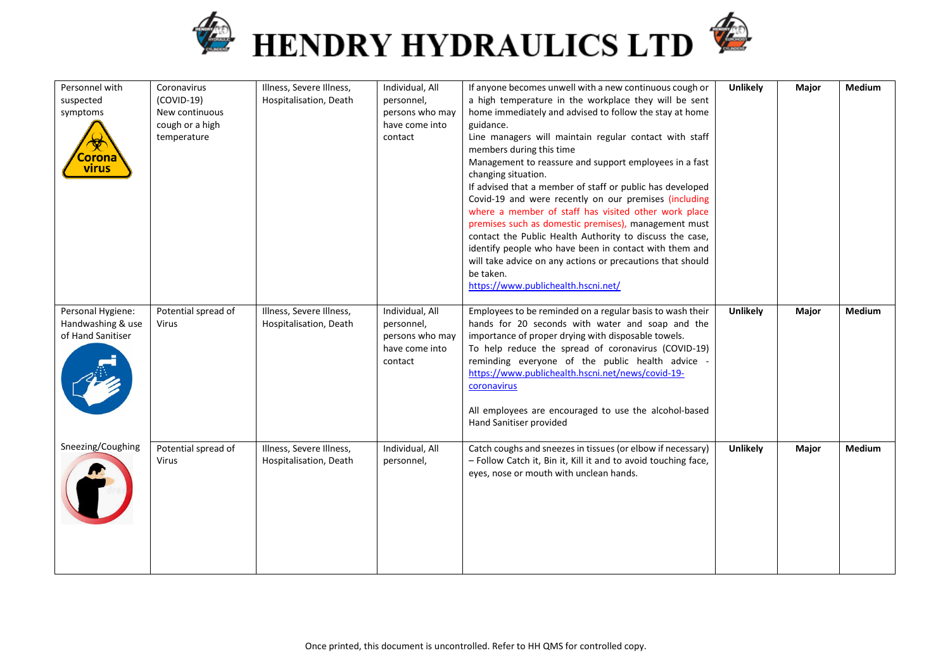



| Personnel with<br>suspected<br>symptoms<br><mark>iorona</mark><br><b>virus</b> | Coronavirus<br>$(COVID-19)$<br>New continuous<br>cough or a high<br>temperature | Illness, Severe Illness,<br>Hospitalisation, Death | Individual, All<br>personnel,<br>persons who may<br>have come into<br>contact | If anyone becomes unwell with a new continuous cough or<br>a high temperature in the workplace they will be sent<br>home immediately and advised to follow the stay at home<br>guidance.<br>Line managers will maintain regular contact with staff<br>members during this time<br>Management to reassure and support employees in a fast<br>changing situation.<br>If advised that a member of staff or public has developed<br>Covid-19 and were recently on our premises (including<br>where a member of staff has visited other work place<br>premises such as domestic premises), management must<br>contact the Public Health Authority to discuss the case,<br>identify people who have been in contact with them and<br>will take advice on any actions or precautions that should<br>be taken.<br>https://www.publichealth.hscni.net/ | <b>Unlikely</b> | Major | Medium        |
|--------------------------------------------------------------------------------|---------------------------------------------------------------------------------|----------------------------------------------------|-------------------------------------------------------------------------------|-----------------------------------------------------------------------------------------------------------------------------------------------------------------------------------------------------------------------------------------------------------------------------------------------------------------------------------------------------------------------------------------------------------------------------------------------------------------------------------------------------------------------------------------------------------------------------------------------------------------------------------------------------------------------------------------------------------------------------------------------------------------------------------------------------------------------------------------------|-----------------|-------|---------------|
| Personal Hygiene:<br>Handwashing & use<br>of Hand Sanitiser                    | Potential spread of<br>Virus                                                    | Illness, Severe Illness,<br>Hospitalisation, Death | Individual, All<br>personnel,<br>persons who may<br>have come into<br>contact | Employees to be reminded on a regular basis to wash their<br>hands for 20 seconds with water and soap and the<br>importance of proper drying with disposable towels.<br>To help reduce the spread of coronavirus (COVID-19)<br>reminding everyone of the public health advice -<br>https://www.publichealth.hscni.net/news/covid-19-<br>coronavirus<br>All employees are encouraged to use the alcohol-based<br>Hand Sanitiser provided                                                                                                                                                                                                                                                                                                                                                                                                       | <b>Unlikely</b> | Major | <b>Medium</b> |
| Sneezing/Coughing                                                              | Potential spread of<br>Virus                                                    | Illness, Severe Illness,<br>Hospitalisation, Death | Individual, All<br>personnel,                                                 | Catch coughs and sneezes in tissues (or elbow if necessary)<br>- Follow Catch it, Bin it, Kill it and to avoid touching face,<br>eyes, nose or mouth with unclean hands.                                                                                                                                                                                                                                                                                                                                                                                                                                                                                                                                                                                                                                                                      | <b>Unlikely</b> | Major | <b>Medium</b> |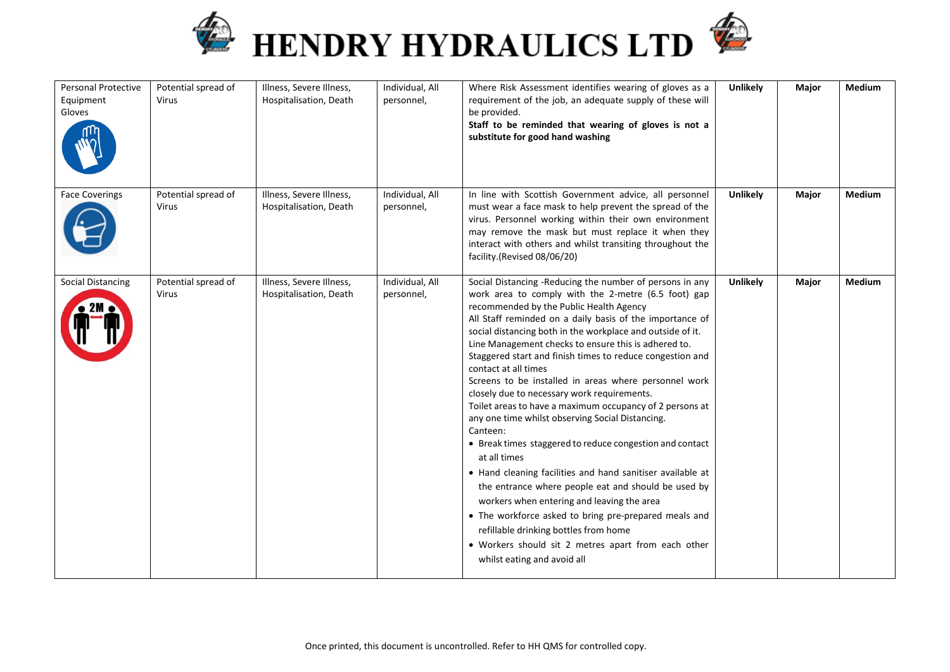



| Personal Protective<br>Equipment<br>Gloves | Potential spread of<br>Virus        | Illness, Severe Illness,<br>Hospitalisation, Death | Individual, All<br>personnel, | Where Risk Assessment identifies wearing of gloves as a<br>requirement of the job, an adequate supply of these will<br>be provided.<br>Staff to be reminded that wearing of gloves is not a<br>substitute for good hand washing                                                                                                                                                                                                                                                                                                                                                                                                                                                                                                                                                                                                                                                                                                                                                                                                                                                                              | <b>Unlikely</b> | Major | Medium        |
|--------------------------------------------|-------------------------------------|----------------------------------------------------|-------------------------------|--------------------------------------------------------------------------------------------------------------------------------------------------------------------------------------------------------------------------------------------------------------------------------------------------------------------------------------------------------------------------------------------------------------------------------------------------------------------------------------------------------------------------------------------------------------------------------------------------------------------------------------------------------------------------------------------------------------------------------------------------------------------------------------------------------------------------------------------------------------------------------------------------------------------------------------------------------------------------------------------------------------------------------------------------------------------------------------------------------------|-----------------|-------|---------------|
| <b>Face Coverings</b>                      | Potential spread of<br>Virus        | Illness, Severe Illness,<br>Hospitalisation, Death | Individual, All<br>personnel, | In line with Scottish Government advice, all personnel<br>must wear a face mask to help prevent the spread of the<br>virus. Personnel working within their own environment<br>may remove the mask but must replace it when they<br>interact with others and whilst transiting throughout the<br>facility.(Revised 08/06/20)                                                                                                                                                                                                                                                                                                                                                                                                                                                                                                                                                                                                                                                                                                                                                                                  | <b>Unlikely</b> | Major | Medium        |
| <b>Social Distancing</b>                   | Potential spread of<br><b>Virus</b> | Illness, Severe Illness,<br>Hospitalisation, Death | Individual, All<br>personnel, | Social Distancing -Reducing the number of persons in any<br>work area to comply with the 2-metre (6.5 foot) gap<br>recommended by the Public Health Agency<br>All Staff reminded on a daily basis of the importance of<br>social distancing both in the workplace and outside of it.<br>Line Management checks to ensure this is adhered to.<br>Staggered start and finish times to reduce congestion and<br>contact at all times<br>Screens to be installed in areas where personnel work<br>closely due to necessary work requirements.<br>Toilet areas to have a maximum occupancy of 2 persons at<br>any one time whilst observing Social Distancing.<br>Canteen:<br>• Break times staggered to reduce congestion and contact<br>at all times<br>• Hand cleaning facilities and hand sanitiser available at<br>the entrance where people eat and should be used by<br>workers when entering and leaving the area<br>• The workforce asked to bring pre-prepared meals and<br>refillable drinking bottles from home<br>• Workers should sit 2 metres apart from each other<br>whilst eating and avoid all | <b>Unlikely</b> | Major | <b>Medium</b> |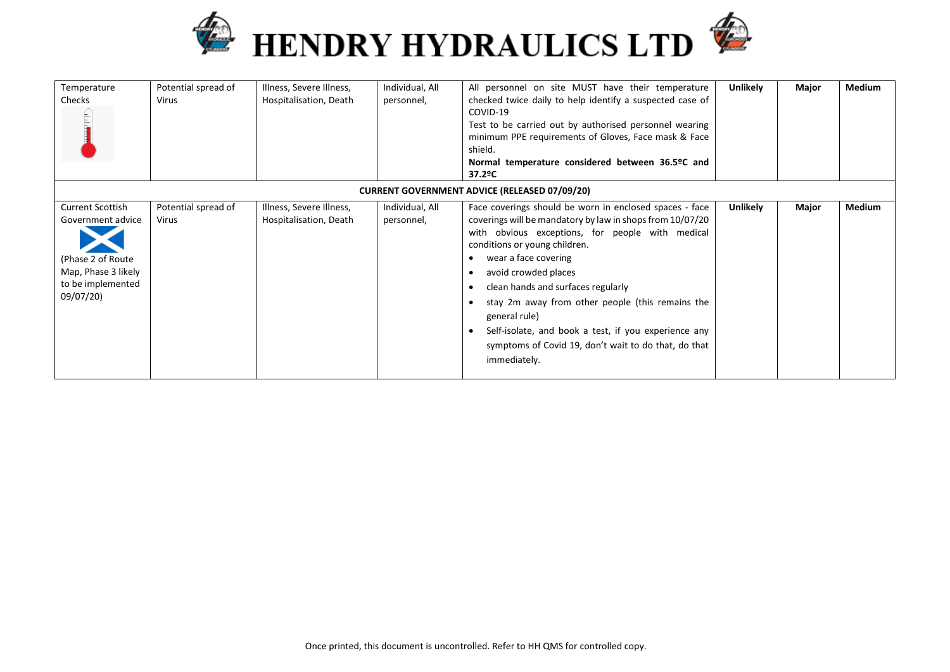



| Temperature<br>Checks                                                                                                       | Potential spread of<br>Virus | Illness, Severe Illness,<br>Hospitalisation, Death | Individual, All<br>personnel, | All personnel on site MUST have their temperature<br>checked twice daily to help identify a suspected case of<br>COVID-19<br>Test to be carried out by authorised personnel wearing<br>minimum PPE requirements of Gloves, Face mask & Face<br>shield.<br>Normal temperature considered between 36.5ºC and<br>37.2ºC                                                                                                                                                                                 | <b>Unlikely</b> | Major | Medium |
|-----------------------------------------------------------------------------------------------------------------------------|------------------------------|----------------------------------------------------|-------------------------------|------------------------------------------------------------------------------------------------------------------------------------------------------------------------------------------------------------------------------------------------------------------------------------------------------------------------------------------------------------------------------------------------------------------------------------------------------------------------------------------------------|-----------------|-------|--------|
|                                                                                                                             |                              |                                                    |                               | <b>CURRENT GOVERNMENT ADVICE (RELEASED 07/09/20)</b>                                                                                                                                                                                                                                                                                                                                                                                                                                                 |                 |       |        |
| <b>Current Scottish</b><br>Government advice<br>(Phase 2 of Route)<br>Map, Phase 3 likely<br>to be implemented<br>09/07/20) | Potential spread of<br>Virus | Illness, Severe Illness,<br>Hospitalisation, Death | Individual, All<br>personnel, | Face coverings should be worn in enclosed spaces - face<br>coverings will be mandatory by law in shops from 10/07/20<br>with obvious exceptions, for people with medical<br>conditions or young children.<br>wear a face covering<br>avoid crowded places<br>clean hands and surfaces regularly<br>stay 2m away from other people (this remains the<br>general rule)<br>Self-isolate, and book a test, if you experience any<br>symptoms of Covid 19, don't wait to do that, do that<br>immediately. | <b>Unlikely</b> | Major | Medium |